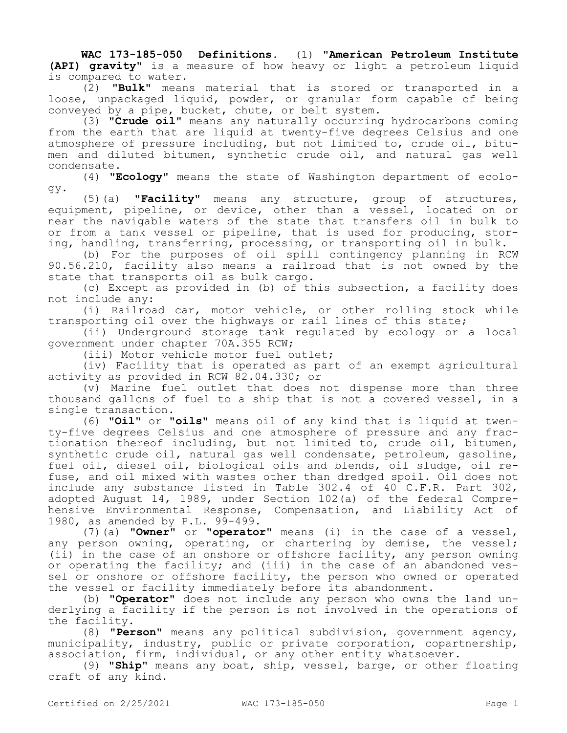**WAC 173-185-050 Definitions.** (1) **"American Petroleum Institute (API) gravity"** is a measure of how heavy or light a petroleum liquid is compared to water.

(2) **"Bulk"** means material that is stored or transported in a loose, unpackaged liquid, powder, or granular form capable of being conveyed by a pipe, bucket, chute, or belt system.

(3) **"Crude oil"** means any naturally occurring hydrocarbons coming from the earth that are liquid at twenty-five degrees Celsius and one atmosphere of pressure including, but not limited to, crude oil, bitumen and diluted bitumen, synthetic crude oil, and natural gas well condensate.

(4) **"Ecology"** means the state of Washington department of ecology.

(5)(a) **"Facility"** means any structure, group of structures, equipment, pipeline, or device, other than a vessel, located on or near the navigable waters of the state that transfers oil in bulk to or from a tank vessel or pipeline, that is used for producing, storing, handling, transferring, processing, or transporting oil in bulk.

(b) For the purposes of oil spill contingency planning in RCW 90.56.210, facility also means a railroad that is not owned by the state that transports oil as bulk cargo.

(c) Except as provided in (b) of this subsection, a facility does not include any:

(i) Railroad car, motor vehicle, or other rolling stock while transporting oil over the highways or rail lines of this state;

(ii) Underground storage tank regulated by ecology or a local government under chapter 70A.355 RCW;

(iii) Motor vehicle motor fuel outlet;

(iv) Facility that is operated as part of an exempt agricultural activity as provided in RCW 82.04.330; or

(v) Marine fuel outlet that does not dispense more than three thousand gallons of fuel to a ship that is not a covered vessel, in a single transaction.

(6) **"Oil"** or **"oils"** means oil of any kind that is liquid at twenty-five degrees Celsius and one atmosphere of pressure and any fractionation thereof including, but not limited to, crude oil, bitumen, synthetic crude oil, natural gas well condensate, petroleum, gasoline, fuel oil, diesel oil, biological oils and blends, oil sludge, oil refuse, and oil mixed with wastes other than dredged spoil. Oil does not include any substance listed in Table 302.4 of 40 C.F.R. Part 302, adopted August 14, 1989, under Section 102(a) of the federal Comprehensive Environmental Response, Compensation, and Liability Act of 1980, as amended by P.L. 99-499.

(7)(a) **"Owner"** or **"operator"** means (i) in the case of a vessel, any person owning, operating, or chartering by demise, the vessel; (ii) in the case of an onshore or offshore facility, any person owning or operating the facility; and (iii) in the case of an abandoned vessel or onshore or offshore facility, the person who owned or operated the vessel or facility immediately before its abandonment.

(b) **"Operator"** does not include any person who owns the land underlying a facility if the person is not involved in the operations of the facility.

(8) **"Person"** means any political subdivision, government agency, municipality, industry, public or private corporation, copartnership, association, firm, individual, or any other entity whatsoever.

(9) **"Ship"** means any boat, ship, vessel, barge, or other floating craft of any kind.